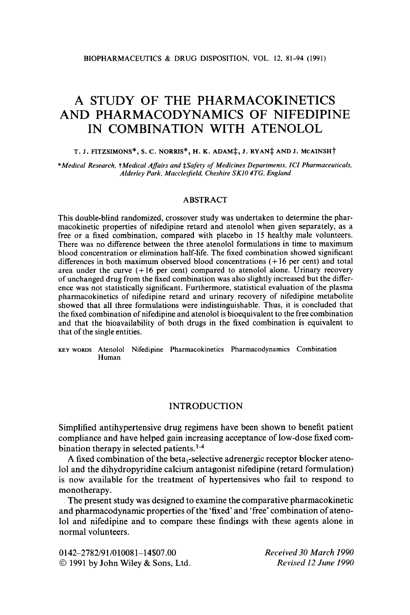# **A STUDY** OF **THE PHARMACOKINETICS AND PHARMACODYNAMICS OF NIFEDIPINE IN COMBINATION WITH ATENOLOL**

# T. J. FITZSIMONS\*, S. C. NORRIS\*, H. K. ADAM‡, J. RYAN‡ AND J. MCAINSH<sup>†</sup>

*\*Medical Research,* t *Medical Affairs and \$Safety of Medicines Departments. ICI Pharmaceuticals, Alderley Park, Macclesfield, Cheshire SKlO 4TG. England* 

## **ABSTRACT**

This double-blind randomized, crossover study was undertaken to determine the pharmacokinetic properties of nifedipine retard and atenolol when given separately, as a free or a fixed combination, compared with placebo in **15** healthy male volunteers. There was no difference between the three atenolol formulations in time to maximum blood concentration or elimination half-life. The fixed combination showed significant differences in both maximum observed blood concentrations (+ **16** per cent) and total area under the curve  $(+16$  per cent) compared to atenolol alone. Urinary recovery of unchanged drug from the fixed combination was also slightly increased but the difference was not statistically significant. Furthermore, statistical evaluation of the plasma pharmacokinetics of nifedipine retard and urinary recovery of nifedipine metabolite showed that all three formulations were indistinguishable. Thus, it is concluded that the fixed combination of nifedipine and atenolol is bioequivalent to the free combination and that the bioavailability of both drugs in the fixed combination is equivalent to that of the single entities.

**KEY** WORDS **Atenolol Nifedipine Pharmacokinetics Pharmacodynamics Combination Human** 

#### INTRODUCTION

Simplified antihypertensive drug regimens have been shown to benefit patient compliance and have helped gain increasing acceptance of low-dose fixed combination therapy in selected patients.<sup>1-4</sup>

**A** fixed combination of the beta,-selective adrenergic receptor blocker atenolo1 and the dihydropyridine calcium antagonist nifedipine (retard formulation) is now available for the treatment of hypertensives who fail to respond to monotherapy.

The present study was designed to examine the comparative pharmacokinetic and pharmacodynamic properties of the 'fixed' and 'free' combination of atenolo1 and nifedipine and to compare these findings with these agents alone in normal volunteers.

**0142-2782/91/01008 1-14\$07.00**  *0* **<sup>1991</sup>**by John Wiley & Sons, Ltd. *Received 30 March I990 Revised 12 June 1990*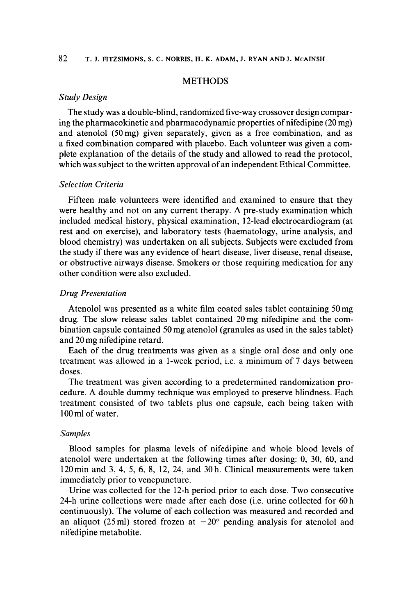# **METHODS**

# *Study Design*

The study was a double-blind, randomized five-way crossover design comparing the pharmacokinetic and pharmacodynamic properties of nifedipine **(20** mg) and atenolol (50mg) given separately, given as a free combination, and as a fixed combination compared with placebo. Each volunteer was given a complete explanation of the details of the study and allowed to read the protocol, which was subject to the written approval of an independent Ethical Committee.

## *Selection Criteria*

Fifteen male volunteers were identified and examined to ensure that they were healthy and not on any current therapy. **A** pre-study examination which included medical history, physical examination, 12-lead electrocardiogram (at rest and on exercise), and laboratory tests (haematology, urine analysis, and blood chemistry) was undertaken on all subjects. Subjects were excluded from the study if there was any evidence of heart disease, liver disease, renal disease, or obstructive airways disease. Smokers **or** those requiring medication for any other condition were also excluded.

## *Drug Presentation*

Atenolol was presented as a white film coated sales tablet containing 50mg drug. The slow release sales tablet contained 20mg nifedipine and the combination capsule contained 50 mg atenolol (granules as used in the sales tablet) and 20 mg nifedipine retard.

Each of the drug treatments was given as a single oral dose and only one treatment was allowed in a 1-week period, i.e. a minimum of 7 days between doses.

The treatment was given according to a predetermined randomization procedure. A double dummy technique was employed to preserve blindness. Each treatment consisted of two tablets plus one capsule, each being taken with 100ml of water.

## *Samples*

Blood samples for plasma levels of nifedipine and whole blood levels of atenolol were undertaken at the following times after dosing: 0, 30, 60, and 120min and **3,** 4, *5,* 6, **8,** 12, 24, and 30h. Clinical measurements were taken immediately prior to venepuncture.

Urine was collected for the 12-h period prior to each dose. Two consecutive 24-h urine collections were made after each dose (i.e. urine collected for 60 h continuously). The volume of each collection was measured and recorded and an aliquot (25 ml) stored frozen at  $-20^{\circ}$  pending analysis for atenolol and nifedipine metabolite.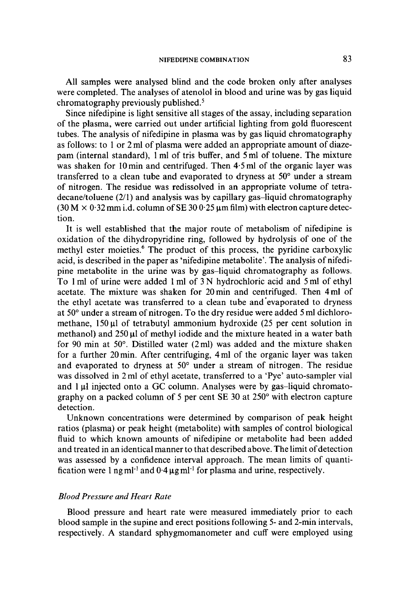All samples were analysed blind and the code broken only after analyses were completed. The analyses of atenolol in blood and urine was by gas liquid chromatography previously published. $5$ 

Since nifedipine is light sensitive all stages of the assay, including separation of the plasma, were carried out under artificial lighting from gold fluorescent tubes. The analysis of nifedipine in plasma was by gas liquid chromatography as follows: to 1 or 2 ml of plasma were added an appropriate amount of diazepam (internal standard), 1 ml of tris buffer, and 5ml of toluene. The mixture was shaken for 10 min and centrifuged. Then 4.5 ml of the organic layer was transferred to a clean tube and evaporated to dryness at 50° under a stream of nitrogen. The residue was redissolved in an appropriate volume of tetra $decancel$  toluene (2/1) and analysis was by capillary gas-liquid chromatography  $(30 M \times 0.32$  mm i.d. column of SE  $300.25$  µm film) with electron capture detection.

It is well established that the major route of metabolism of nifedipine is oxidation of the dihydropyridine ring, followed by hydrolysis of one of the methyl ester moieties.<sup>6</sup> The product of this process, the pyridine carboxylic acid, is described in the paper as 'nifedipine metabolite'. The analysis of nifedipine metabolite in the urine was by gas-liquid chromatography as follows. To 1 ml of urine were added 1 ml of 3 N hydrochloric acid and *5* ml of ethyl acetate. The mixture was shaken for 20min and centrifuged. Then 4ml of the ethyl acetate was transferred to a clean tube and 'evaporated to dryness at 50" under a stream of nitrogen. To the dry residue were added 5 ml dichloromethane,  $150 \mu l$  of tetrabutyl ammonium hydroxide (25 per cent solution in methanol) and 250 µl of methyl iodide and the mixture heated in a water bath for 90 min at 50 $^{\circ}$ . Distilled water (2ml) was added and the mixture shaken for a further 20min. After centrifuging, 4ml of the organic layer was taken and evaporated to dryness at **50"** under a stream of nitrogen. The residue was dissolved in 2 ml of ethyl acetate, transferred to a 'Pye' auto-sampler vial and 1 **pl** injected onto a *GC* column. Analyses were by gas-liquid chromatography on a packed column **of** 5 per cent **SE 30** at 250" with electron capture detection.

Unknown concentrations were determined by comparison of peak height ratios (plasma) or peak height (metabolite) with samples of control biological fluid to which known amounts of nifedipine or metabolite had been added and treated in an identical manner to that described above. The limit of detection was assessed by a confidence interval approach. The mean limits of quantification were 1 ng ml<sup>-1</sup> and  $0.4 \mu$ g ml<sup>-1</sup> for plasma and urine, respectively.

# *Blood Pressure and Heart Rate*

Blood pressure and heart rate were measured immediately prior to each blood sample in the supine and erect positions following *5-* and 2-min intervals, respectively. A standard sphygmomanometer and cuff were employed using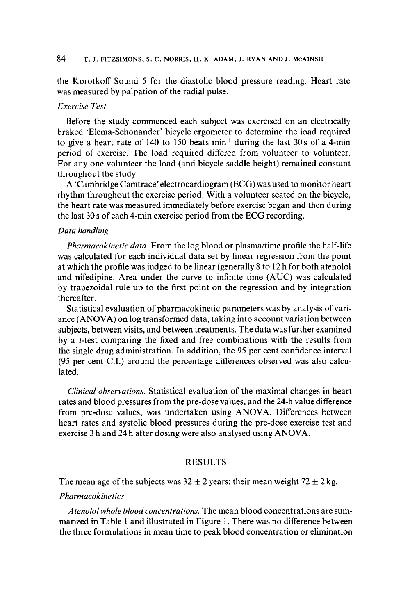## 84 **T. J. FITZSIMONS, s.** c. **NORRIS, H. K. ADAM,** J. **RYAN AND** J. **MCAINSH**

the Korotkoff Sound 5 for the diastolic blood pressure reading. Heart rate was measured by palpation of the radial pulse.

#### *Exercise Test*

Before the study commenced each subject was exercised on an electrically braked 'Elema-Schonander' bicycle ergometer to determine the load required to give a heart rate of 140 to 150 beats min-' during the last **30s** of a 4-min period of exercise. The load required differed from volunteer to volunteer. For any one volunteer the load (and bicycle saddle height) remained constant throughout the study.

**A** 'Cambridge Camtrace' electrocardiogram (ECG) was used to monitor heart rhythm throughout the exercise period. With a volunteer seated on the bicycle, the heart rate was measured immediately before exercise began and then during the last **30 s** of each 4-min exercise period from the ECG recording.

## *Data handling*

*Pharmacokinetic data.* From the log blood or plasma/time profile the half-life was calculated for each individual data set by linear regression from the point at which the profile was judged to be linear (generally **8** to 12 h for both atenolol and nifedipine. Area under the curve to infinite time **(AUC)** was calculated by trapezoidal rule up to the first point on the regression and by integration thereafter.

Statistical evaluation of pharmacokinetic parameters was by analysis of variance **(ANOVA)** on log transformed data, taking into account variation between subjects, between visits, and between treatments. The data was further examined **by** a t-test comparing the fixed and free combinations with the results from the single drug administration. In addition, the 95 per cent confidence interval (95 per cent C.I.) around the percentage differences observed was also calculated.

*Clinical observations.* Statistical evaluation of the maximal changes in heart rates and blood pressures from the pre-dose values, and the 24-h value difference from pre-dose values, was undertaken using **ANOVA.** Differences between heart rates and systolic blood pressures during the pre-dose exercise test and exercise 3 h and 24 h after dosing were also analysed using **ANOVA.** 

# RESULTS

The mean age of the subjects was  $32 \pm 2$  years; their mean weight  $72 \pm 2$  kg.

# *Pharmacokinetics*

*Atenolol whole blood concentrations.* The mean blood concentrations are summarized in Table 1 and illustrated in Figure 1. There was no difference between the three formulations in mean time to peak blood concentration or elimination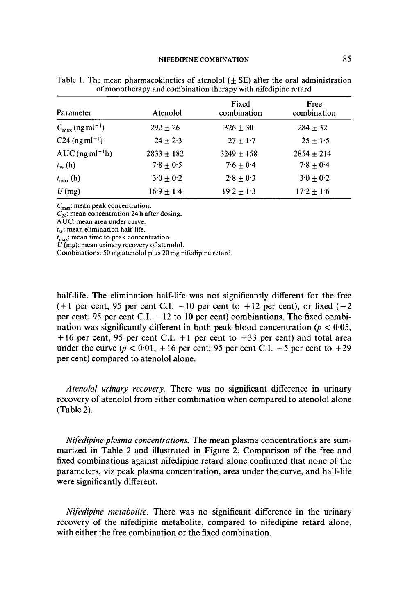| Parameter                               | Atenolol       | Fixed<br>combination | Free<br>combination |
|-----------------------------------------|----------------|----------------------|---------------------|
| $C_{\text{max}}$ (ng ml <sup>-1</sup> ) | $292 + 26$     | $326 + 30$           | $284 + 32$          |
| $C24$ (ng ml <sup>-1</sup> )            | $24 + 2.3$     | $27 + 1.7$           | $25 + 1.5$          |
| AUC (ng m $l^{-1}h$ )                   | $2833 \pm 182$ | $3249 \pm 158$       | $2854 \pm 214$      |
| $t_{1/2}$ (h)                           | $7.8 + 0.5$    | $7.6 + 0.4$          | $7.8 + 0.4$         |
| $t_{\max}$ (h)                          | $3.0 + 0.2$    | $2.8 + 0.3$          | $3.0 + 0.2$         |
| $U$ (mg)                                | $16.9 + 1.4$   | $19.2 \pm 1.3$       | $17.2 \pm 1.6$      |

Table 1. The mean pharmacokinetics of atenolol  $(f \text{E})$  after the oral administration of monotherapy and combination therapy with nifedipine retard

*C*<sub>max</sub>: mean peak concentration.

 $\overline{C_{24}}$ : mean concentration 24 h after dosing.

AUC: mean area under curve.

 $t_{1/2}$ : mean elimination half-life.

 $t_{\text{max}}$ : mean time to peak concentration.

 $\dddot{U}$ (mg): mean urinary recovery of atenolol.

Combinations: *50* mg atenolol plus **20** mg nifedipine retard.

half-life. The elimination half-life was not significantly different for the free  $(+1)$  per cent, 95 per cent C.I.  $-10$  per cent to  $+12$  per cent), or fixed (-2) per cent, 95 per cent C.I.  $-12$  to 10 per cent) combinations. The fixed combination was significantly different in both peak blood concentration ( $p < 0.05$ , + 16 per cent, 95 per cent C.I. + **1** per cent to **+33** per cent) and total area under the curve ( $p < 0.01$ , +16 per cent; 95 per cent C.I. +5 per cent to +29 per cent) compared to atenolol alone.

*Atenolol urinary recovery.* There was no significant difference in urinary recovery of atenolol from either combination when compared to atenolol alone (Table 2).

*Nifedipine plasma concentrations.* The mean plasma concentrations are summarized in Table 2 and illustrated in Figure 2. Comparison of the free and fixed combinations against nifedipine retard alone confirmed that none of the parameters, viz peak plasma concentration, area under the curve, and half-life were significantly different.

*Nifedipine metabolite.* There was no significant difference in the urinary recovery of the nifedipine metabolite, compared to nifedipine retard alone, with either the free combination or the fixed combination.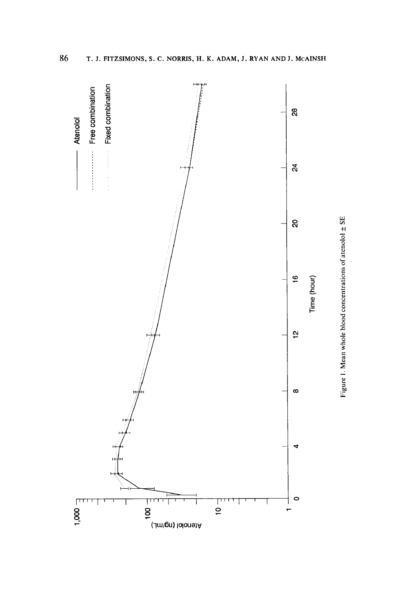

86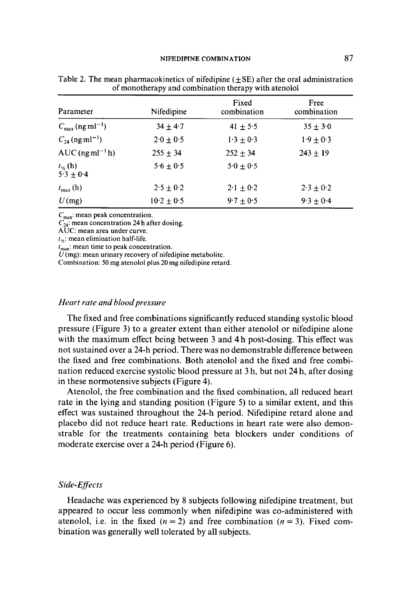| Parameter                               | Nifedipine    | Fixed<br>combination    | Free<br>combination |
|-----------------------------------------|---------------|-------------------------|---------------------|
| $C_{\text{max}}$ (ng ml <sup>-1</sup> ) | $34 + 4.7$    | $41 + 5.5$              | $35 + 3.0$          |
| $C_{24}$ (ng ml <sup>-1</sup> )         | $2.0 \pm 0.5$ | $1 \cdot 3 + 0 \cdot 3$ | $1.9 + 0.3$         |
| $AUC$ (ng ml <sup>-1</sup> h)           | $255 \pm 34$  | $252 \pm 34$            | $243 \pm 19$        |
| $t_{16}$ (h)<br>$5.3 + 0.4$             | $5.6 \pm 0.5$ | $5.0 \pm 0.5$           |                     |
| $t_{\text{max}}$ (h)                    | $2.5 + 0.2$   | $2.1 \pm 0.2$           | $2.3 \pm 0.2$       |
| $U$ (mg)                                | $10.2 + 0.5$  | $9.7 + 0.5$             | $9.3 + 0.4$         |

Table 2. The mean pharmacokinetics of nifedipine  $(\pm SE)$  after the oral administration of monotherapy and combination therapy with atenolol

 $C_{\text{max}}$ : mean peak concentration.

 $C_{24}^{\text{max}}$  mean concentration 24 h after dosing.

**AUC:** mean area under curve.

 $t_{\mu}$ : mean elimination half-life.

 $t_{\text{max}}$  mean time to peak concentration.

*U* (mg): mean urinary recovery of nifedipine metabolite.

Combination: 50 mg atenolol plus 20 mg nifedipine retard.

## *Heart rate and blood pressure*

The fixed and free combinations significantly reduced standing systolic blood pressure (Figure 3) to a greater extent than either atenolol or nifedipine alone with the maximum effect being between 3 and **4** h post-dosing. This effect was not sustained over a 24-h period. There was no demonstrable difference between the fixed and free combinations. Both atenolol and the fixed and free combination reduced exercise systolic blood pressure at **3** h, but not 24 h, after dosing in these normotensive subjects (Figure 4).

Atenolol, the free combination and the fixed combination, all reduced heart rate in the lying and standing position (Figure *5)* to a similar extent, and this effect was sustained throughout the 24-h period. Nifedipine retard alone and placebo did not reduce heart rate. Reductions in heart rate were also demonstrable for the treatments containing beta blockers under conditions of moderate exercise over a 24-h period (Figure *6).* 

## *Side- Efects*

Headache was experienced by **8** subjects following nifedipine treatment, but appeared to occur less commonly when nifedipine was co-administered with atenolol, i.e. in the fixed  $(n = 2)$  and free combination  $(n = 3)$ . Fixed combination was generally well tolerated by all subjects.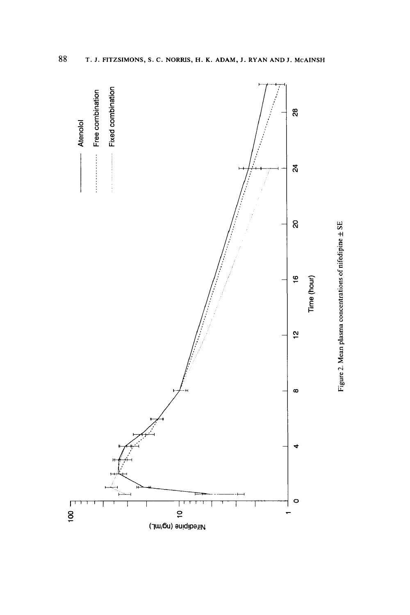

 ${\bf 88}$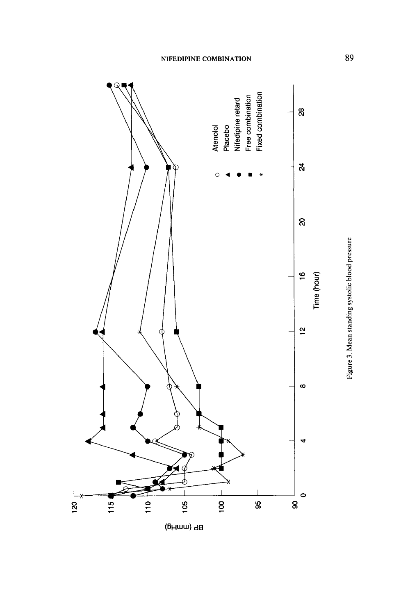



Figure 3. Mean standing systolic blood pressure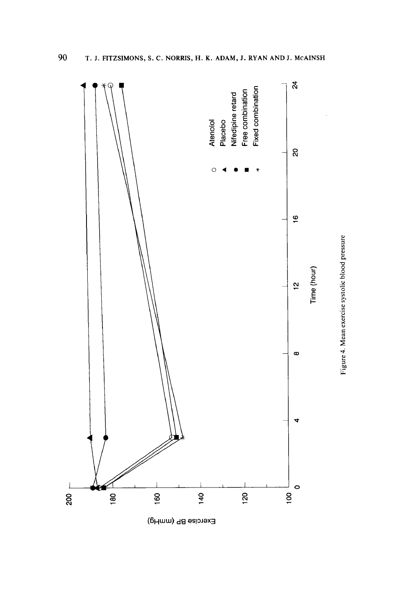

Exercise BP (mmHg)

Figure 4. Mean exercise systolic blood pressure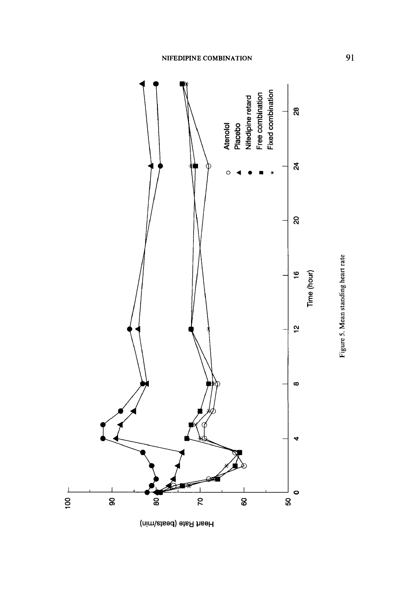

Heart Rate (beats/min)

Figure 5. Mean standing heart rate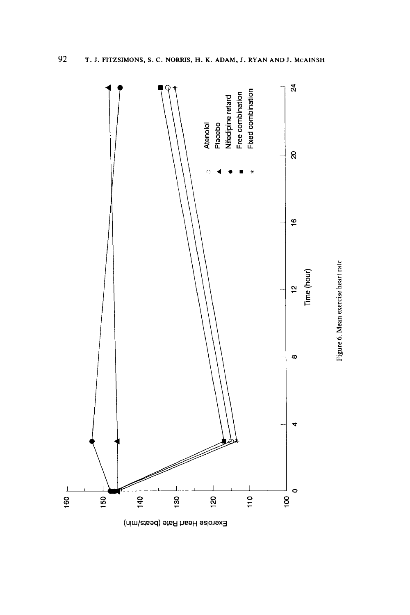

Figure 6. Mean exercise heart rate

Exercise Heart Rate (beats/min)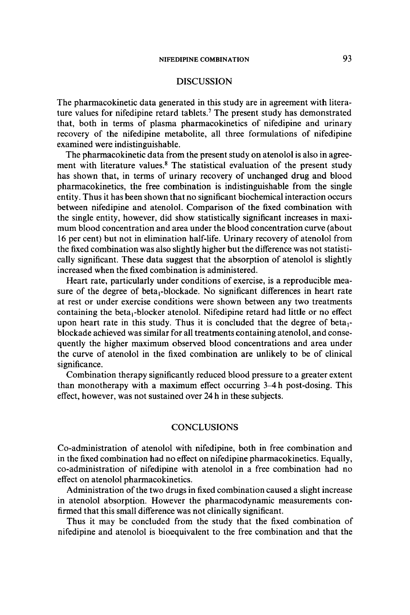# **DISCUSSION**

The pharmacokinetic data generated in this study are in agreement with literature values for nifedipine retard tablets.' The present study has demonstrated that, both in terms of plasma pharmacokinetics of nifedipine and urinary recovery of the nifedipine metabolite, all three formulations of nifedipine examined were indistinguishable.

The pharmacokinetic data from the present study on atenolol is also in agreement with literature values.8 The statistical evaluation of the present study has shown that, in terms of urinary recovery of unchanged drug and blood pharmacokinetics, the free combination is indistinguishable from the single entity. Thus it has been shown that no significant biochemical interaction occurs between nifedipine and atenolol. Comparison **of** the fixed combination with the single entity, however, did show statistically significant increases in maximum blood concentration and area under the blood concentration curve (about 16 per cent) but not in elimination half-life. Urinary recovery of atenolol from the fixed combination was also slightly higher but the difference was not statistically significant. These data suggest that the absorption of atenolol is slightly increased when the fixed combination is administered.

Heart rate, particularly under conditions of exercise, is a reproducible measure of the degree of beta,-blockade. No significant differences in heart rate at rest or under exercise conditions were shown between any two treatments containing the beta,-blocker atenolol. Nifedipine retard had little or no effect upon heart rate in this study. Thus it is concluded that the degree of beta, blockade achieved was similar for all treatments containing atenolol, and consequently the higher maximum observed blood concentrations and area under the curve of atenolol in the fixed combination are unlikely to be of clinical significance.

Combination therapy significantly reduced blood pressure to a greater extent than monotherapy with a maximum effect occurring **34** h post-dosing. This effect, however, was not sustained over **24** h in these subjects.

# **CONCLUSIONS**

Co-administration of atenolol with nifedipine, both in free combination and in the fixed combination had no effect on nifedipine pharmacokinetics. Equally, co-administration of nifedipine with atenolol in a free combination had no effect on atenolol pharmacokinetics.

Administration of the two drugs in fixed combination caused a slight increase in atenolol absorption. However the pharmacodynamic measurements confirmed that this small difference was not clinically significant.

Thus it may be concluded from the study that the fixed combination of nifedipine and atenolol is bioequivalent to the free combination and that the